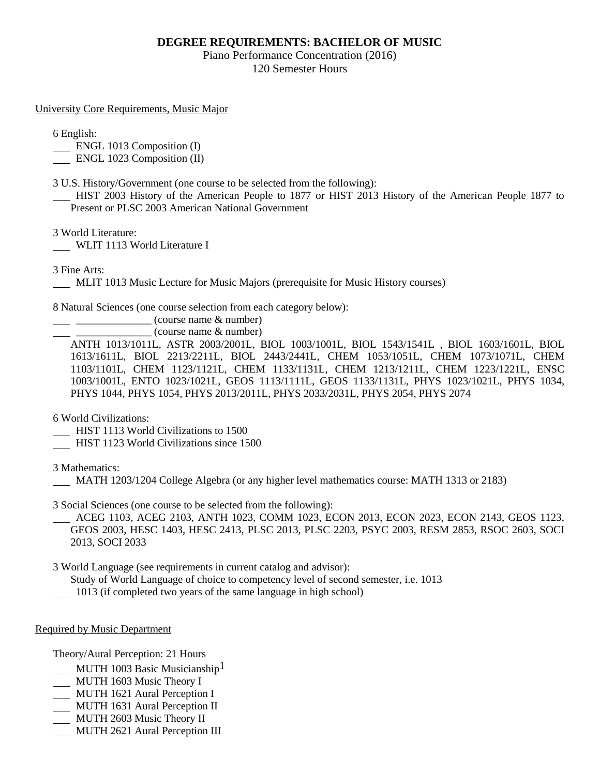## **DEGREE REQUIREMENTS: BACHELOR OF MUSIC**

Piano Performance Concentration (2016) 120 Semester Hours

University Core Requirements, Music Major

6 English:

ENGL 1013 Composition (I)

ENGL 1023 Composition (II)

3 U.S. History/Government (one course to be selected from the following):

 HIST 2003 History of the American People to 1877 or HIST 2013 History of the American People 1877 to Present or PLSC 2003 American National Government

3 World Literature:

WLIT 1113 World Literature I

3 Fine Arts:

MLIT 1013 Music Lecture for Music Majors (prerequisite for Music History courses)

8 Natural Sciences (one course selection from each category below):

\_\_\_\_\_\_\_\_\_\_\_\_\_\_ (course name & number)

\_\_\_\_\_\_\_\_\_\_\_\_\_\_ (course name & number)

ANTH 1013/1011L, ASTR 2003/2001L, BIOL 1003/1001L, BIOL 1543/1541L , BIOL 1603/1601L, BIOL 1613/1611L, BIOL 2213/2211L, BIOL 2443/2441L, CHEM 1053/1051L, CHEM 1073/1071L, CHEM 1103/1101L, CHEM 1123/1121L, CHEM 1133/1131L, CHEM 1213/1211L, CHEM 1223/1221L, ENSC 1003/1001L, ENTO 1023/1021L, GEOS 1113/1111L, GEOS 1133/1131L, PHYS 1023/1021L, PHYS 1034, PHYS 1044, PHYS 1054, PHYS 2013/2011L, PHYS 2033/2031L, PHYS 2054, PHYS 2074

6 World Civilizations:

- HIST 1113 World Civilizations to 1500
- HIST 1123 World Civilizations since 1500

3 Mathematics:

MATH 1203/1204 College Algebra (or any higher level mathematics course: MATH 1313 or 2183)

3 Social Sciences (one course to be selected from the following):

 ACEG 1103, ACEG 2103, ANTH 1023, COMM 1023, ECON 2013, ECON 2023, ECON 2143, GEOS 1123, GEOS 2003, HESC 1403, HESC 2413, PLSC 2013, PLSC 2203, PSYC 2003, RESM 2853, RSOC 2603, SOCI 2013, SOCI 2033

3 World Language (see requirements in current catalog and advisor):

Study of World Language of choice to competency level of second semester, i.e. 1013

1013 (if completed two years of the same language in high school)

Required by Music Department

Theory/Aural Perception: 21 Hours

- MUTH 1003 Basic Musicianship<sup>1</sup>
- MUTH 1603 Music Theory I
- MUTH 1621 Aural Perception I
- MUTH 1631 Aural Perception II
- MUTH 2603 Music Theory II
- **MUTH 2621 Aural Perception III**